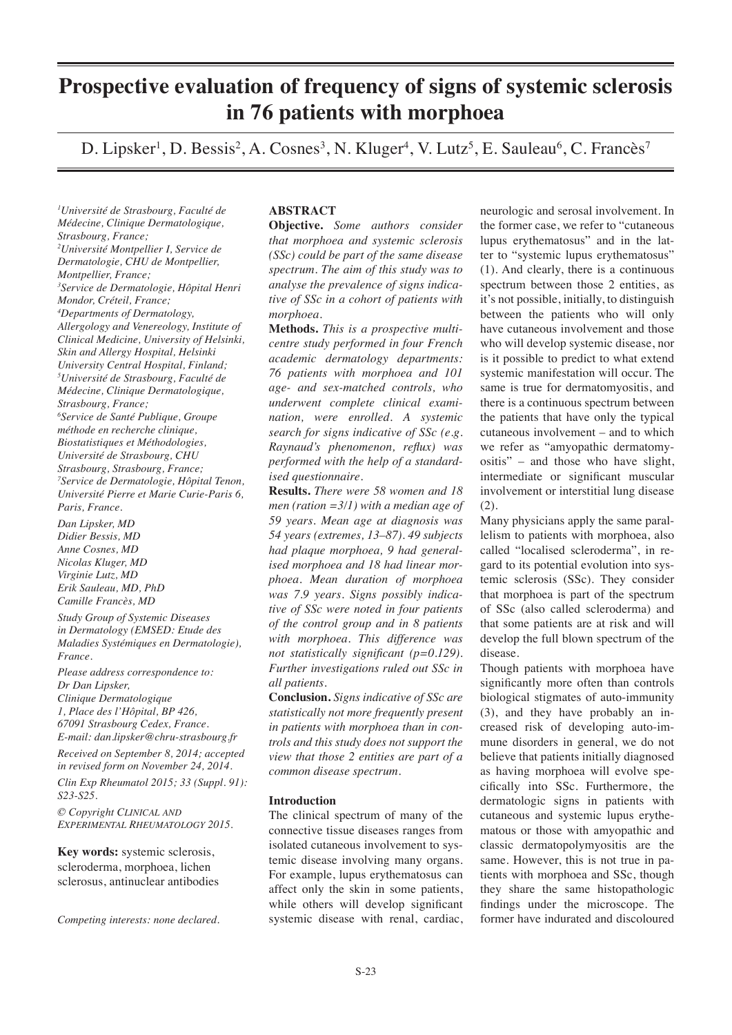# **Prospective evaluation of frequency of signs of systemic sclerosis in 76 patients with morphoea**

D. Lipsker<sup>1</sup>, D. Bessis<sup>2</sup>, A. Cosnes<sup>3</sup>, N. Kluger<sup>4</sup>, V. Lutz<sup>5</sup>, E. Sauleau<sup>6</sup>, C. Francès<sup>7</sup>

*1 Université de Strasbourg, Faculté de Médecine, Clinique Dermatologique, Strasbourg, France; 2 Université Montpellier I, Service de Dermatologie, CHU de Montpellier, Montpellier, France; 3 Service de Dermatologie, Hôpital Henri Mondor, Créteil, France; 4 Departments of Dermatology, Allergology and Venereology, Institute of Clinical Medicine, University of Helsinki, Skin and Allergy Hospital, Helsinki University Central Hospital, Finland; 5 Université de Strasbourg, Faculté de Médecine, Clinique Dermatologique, Strasbourg, France; 6 Service de Santé Publique, Groupe méthode en recherche clinique, Biostatistiques et Méthodologies, Université de Strasbourg, CHU Strasbourg, Strasbourg, France; 7 Service de Dermatologie, Hôpital Tenon, Université Pierre et Marie Curie-Paris 6, Paris, France. Dan Lipsker, MD Didier Bessis, MD*

*Anne Cosnes, MD Nicolas Kluger, MD Virginie Lutz, MD Erik Sauleau, MD, PhD Camille Francès, MD*

*Study Group of Systemic Diseases in Dermatology (EMSED: Etude des Maladies Systémiques en Dermatologie), France.*

*Please address correspondence to: Dr Dan Lipsker, Clinique Dermatologique 1, Place des l'Hôpital, BP 426, 67091 Strasbourg Cedex, France. E-mail: dan.lipsker@chru-strasbourg.fr Received on September 8, 2014; accepted in revised form on November 24, 2014. Clin Exp Rheumatol 2015; 33 (Suppl. 91):* 

*S23-S25.*

*© Copyright Clinical and Experimental Rheumatology 2015.*

**Key words:** systemic sclerosis, scleroderma, morphoea, lichen sclerosus, antinuclear antibodies

*Competing interests: none declared.*

## **ABSTRACT**

**Objective.** *Some authors consider that morphoea and systemic sclerosis (SSc) could be part of the same disease spectrum. The aim of this study was to analyse the prevalence of signs indicative of SSc in a cohort of patients with morphoea.*

**Methods.** *This is a prospective multicentre study performed in four French academic dermatology departments: 76 patients with morphoea and 101 age- and sex-matched controls, who underwent complete clinical examination, were enrolled. A systemic search for signs indicative of SSc (e.g. Raynaud's phenomenon, reflux) was performed with the help of a standardised questionnaire.*

**Results.** *There were 58 women and 18 men (ration =3/1) with a median age of 59 years. Mean age at diagnosis was 54 years (extremes, 13–87). 49 subjects had plaque morphoea, 9 had generalised morphoea and 18 had linear morphoea. Mean duration of morphoea was 7.9 years. Signs possibly indicative of SSc were noted in four patients of the control group and in 8 patients with morphoea. This difference was not statistically significant (p=0.129). Further investigations ruled out SSc in all patients.*

**Conclusion.** *Signs indicative of SSc are statistically not more frequently present in patients with morphoea than in controls and this study does not support the view that those 2 entities are part of a common disease spectrum.*

## **Introduction**

The clinical spectrum of many of the connective tissue diseases ranges from isolated cutaneous involvement to systemic disease involving many organs. For example, lupus erythematosus can affect only the skin in some patients, while others will develop significant systemic disease with renal, cardiac,

neurologic and serosal involvement. In the former case, we refer to "cutaneous lupus erythematosus" and in the latter to "systemic lupus erythematosus" (1). And clearly, there is a continuous spectrum between those 2 entities, as it's not possible, initially, to distinguish between the patients who will only have cutaneous involvement and those who will develop systemic disease, nor is it possible to predict to what extend systemic manifestation will occur. The same is true for dermatomyositis, and there is a continuous spectrum between the patients that have only the typical cutaneous involvement – and to which we refer as "amyopathic dermatomyositis" – and those who have slight, intermediate or significant muscular involvement or interstitial lung disease (2).

Many physicians apply the same parallelism to patients with morphoea, also called "localised scleroderma", in regard to its potential evolution into systemic sclerosis (SSc). They consider that morphoea is part of the spectrum of SSc (also called scleroderma) and that some patients are at risk and will develop the full blown spectrum of the disease.

Though patients with morphoea have significantly more often than controls biological stigmates of auto-immunity (3), and they have probably an increased risk of developing auto-immune disorders in general, we do not believe that patients initially diagnosed as having morphoea will evolve specifically into SSc. Furthermore, the dermatologic signs in patients with cutaneous and systemic lupus erythematous or those with amyopathic and classic dermatopolymyositis are the same. However, this is not true in patients with morphoea and SSc, though they share the same histopathologic findings under the microscope. The former have indurated and discoloured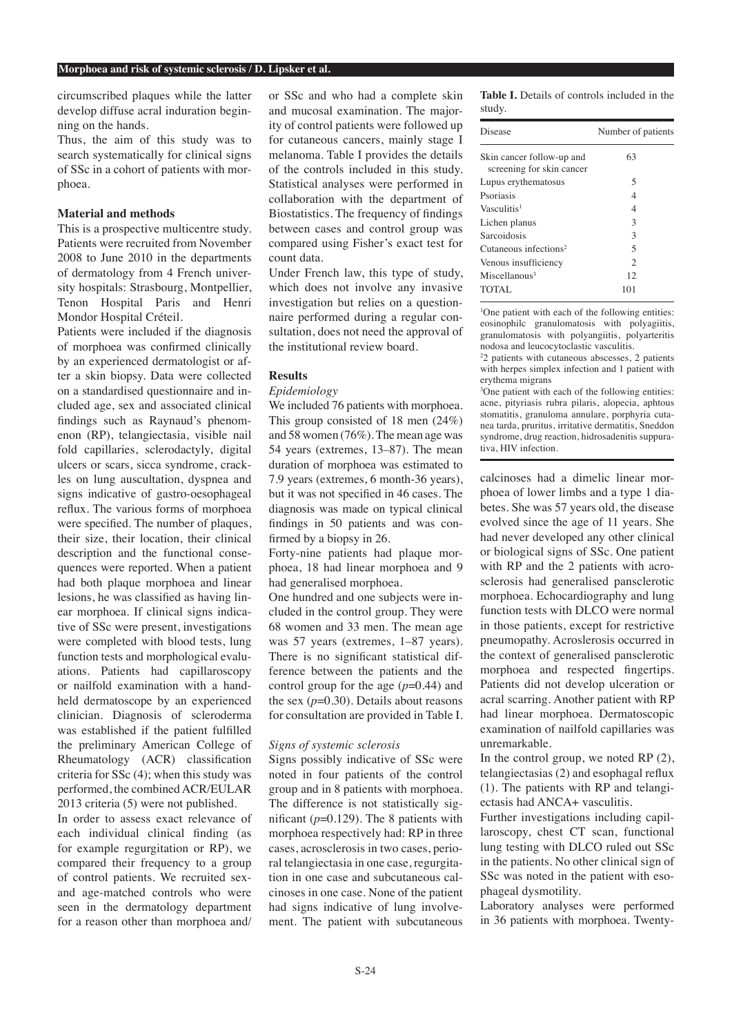circumscribed plaques while the latter develop diffuse acral induration beginning on the hands.

Thus, the aim of this study was to search systematically for clinical signs of SSc in a cohort of patients with morphoea.

## **Material and methods**

This is a prospective multicentre study. Patients were recruited from November 2008 to June 2010 in the departments of dermatology from 4 French university hospitals: Strasbourg, Montpellier, Tenon Hospital Paris and Henri Mondor Hospital Créteil.

Patients were included if the diagnosis of morphoea was confirmed clinically by an experienced dermatologist or after a skin biopsy. Data were collected on a standardised questionnaire and included age, sex and associated clinical findings such as Raynaud's phenomenon (RP), telangiectasia, visible nail fold capillaries, sclerodactyly, digital ulcers or scars, sicca syndrome, crackles on lung auscultation, dyspnea and signs indicative of gastro-oesophageal reflux. The various forms of morphoea were specified. The number of plaques, their size, their location, their clinical description and the functional consequences were reported. When a patient had both plaque morphoea and linear lesions, he was classified as having linear morphoea. If clinical signs indicative of SSc were present, investigations were completed with blood tests, lung function tests and morphological evaluations. Patients had capillaroscopy or nailfold examination with a handheld dermatoscope by an experienced clinician. Diagnosis of scleroderma was established if the patient fulfilled the preliminary American College of Rheumatology (ACR) classification criteria for SSc (4); when this study was performed, the combined ACR/EULAR 2013 criteria (5) were not published.

In order to assess exact relevance of each individual clinical finding (as for example regurgitation or RP), we compared their frequency to a group of control patients. We recruited sexand age-matched controls who were seen in the dermatology department for a reason other than morphoea and/

or SSc and who had a complete skin and mucosal examination. The majority of control patients were followed up for cutaneous cancers, mainly stage I melanoma. Table I provides the details of the controls included in this study. Statistical analyses were performed in collaboration with the department of Biostatistics. The frequency of findings between cases and control group was compared using Fisher's exact test for count data.

Under French law, this type of study, which does not involve any invasive investigation but relies on a questionnaire performed during a regular consultation, does not need the approval of the institutional review board.

## **Results**

#### *Epidemiology*

We included 76 patients with morphoea. This group consisted of 18 men (24%) and 58 women (76%). The mean age was 54 years (extremes, 13–87). The mean duration of morphoea was estimated to 7.9 years (extremes, 6 month-36 years), but it was not specified in 46 cases. The diagnosis was made on typical clinical findings in 50 patients and was confirmed by a biopsy in 26.

Forty-nine patients had plaque morphoea, 18 had linear morphoea and 9 had generalised morphoea.

One hundred and one subjects were included in the control group. They were 68 women and 33 men. The mean age was 57 years (extremes, 1–87 years). There is no significant statistical difference between the patients and the control group for the age (*p*=0.44) and the sex  $(p=0.30)$ . Details about reasons for consultation are provided in Table I.

#### *Signs of systemic sclerosis*

Signs possibly indicative of SSc were noted in four patients of the control group and in 8 patients with morphoea. The difference is not statistically significant (*p*=0.129). The 8 patients with morphoea respectively had: RP in three cases, acrosclerosis in two cases, perioral telangiectasia in one case, regurgitation in one case and subcutaneous calcinoses in one case. None of the patient had signs indicative of lung involvement. The patient with subcutaneous **Table I.** Details of controls included in the study.

| Number of patients |
|--------------------|
| 63                 |
| 5                  |
| 4                  |
| 4                  |
| 3                  |
| 3                  |
| 5                  |
| $\overline{c}$     |
| 12                 |
| 101                |
|                    |

<sup>1</sup>One patient with each of the following entities: eosinophilc granulomatosis with polyagiitis, granulomatosis with polyangiitis, polyarteritis nodosa and leucocytoclastic vasculitis.

2 2 patients with cutaneous abscesses, 2 patients with herpes simplex infection and 1 patient with erythema migrans

3 One patient with each of the following entities: acne, pityriasis rubra pilaris, alopecia, aphtous stomatitis, granuloma annulare, porphyria cutanea tarda, pruritus, irritative dermatitis, Sneddon syndrome, drug reaction, hidrosadenitis suppurativa, HIV infection.

calcinoses had a dimelic linear morphoea of lower limbs and a type 1 diabetes. She was 57 years old, the disease evolved since the age of 11 years. She had never developed any other clinical or biological signs of SSc. One patient with RP and the 2 patients with acrosclerosis had generalised pansclerotic morphoea. Echocardiography and lung function tests with DLCO were normal in those patients, except for restrictive pneumopathy. Acroslerosis occurred in the context of generalised pansclerotic morphoea and respected fingertips. Patients did not develop ulceration or acral scarring. Another patient with RP had linear morphoea. Dermatoscopic examination of nailfold capillaries was unremarkable.

In the control group, we noted RP (2), telangiectasias (2) and esophagal reflux (1). The patients with RP and telangiectasis had ANCA+ vasculitis.

Further investigations including capillaroscopy, chest CT scan, functional lung testing with DLCO ruled out SSc in the patients. No other clinical sign of SSc was noted in the patient with esophageal dysmotility.

Laboratory analyses were performed in 36 patients with morphoea. Twenty